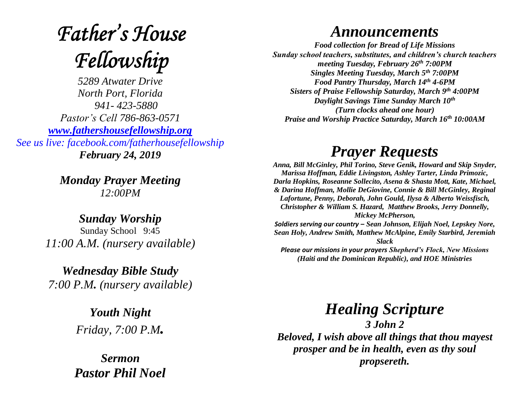# **Father's House** Fellowship

*5289 Atwater Drive North Port, Florida 941- 423-5880 Pastor's Cell 786-863-0571 [www.fathershousefellowship.org](http://www.fathershousefellowship.org/) See us live: facebook.com/fatherhousefellowship February 24, 2019*

> *Monday Prayer Meeting 12:00PM*

*Sunday Worship* Sunday School 9:45 *11:00 A.M. (nursery available)*

*Wednesday Bible Study 7:00 P.M. (nursery available)*

> *Youth Night Friday, 7:00 P.M.*

*Sermon Pastor Phil Noel*

#### *Announcements*

*Food collection for Bread of Life Missions Sunday school teachers, substitutes, and children's church teachers meeting Tuesday, February 26th 7:00PM Singles Meeting Tuesday, March 5th 7:00PM Food Pantry Thursday, March 14th 4-6PM Sisters of Praise Fellowship Saturday, March 9th 4:00PM Daylight Savings Time Sunday March 10th (Turn clocks ahead one hour) Praise and Worship Practice Saturday, March 16th 10:00AM*

### *Prayer Requests*

*Anna, Bill McGinley, Phil Torino, Steve Genik, Howard and Skip Snyder, Marissa Hoffman, Eddie Livingston, Ashley Tarter, Linda Primozic, Darla Hopkins, Roseanne Sollecito, Asena & Shasta Mott, Kate, Michael, & Darina Hoffman, Mollie DeGiovine, Connie & Bill McGinley, Reginal Lafortune, Penny, Deborah, John Gould, Ilysa & Alberto Weissfisch, Christopher & William S. Hazard, Matthew Brooks, Jerry Donnelly, Mickey McPherson, Soldiers serving our country – Sean Johnson, Elijah Noel, Lepskey Nore, Sean Holy, Andrew Smith, Matthew McAlpine, Emily Starbird, Jeremiah Slack*

*Please our missions in your prayers Shepherd's Flock, New Missions (Haiti and the Dominican Republic), and HOE Ministries*

## *Healing Scripture*

*3 John 2 Beloved, I wish above all things that thou mayest prosper and be in health, even as thy soul propsereth.*